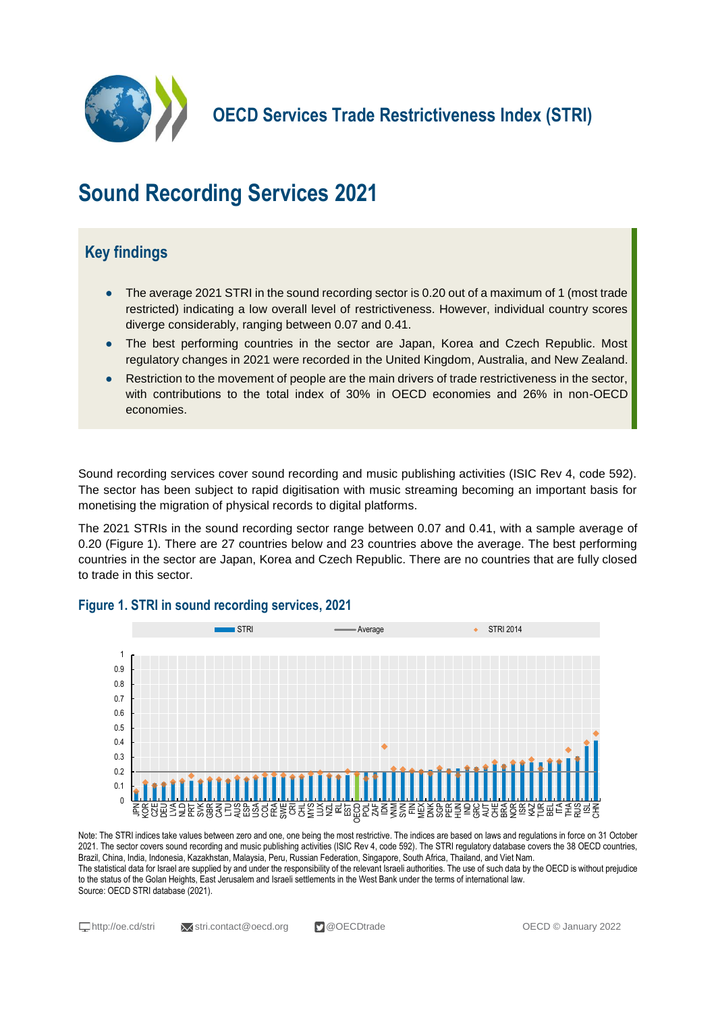

**OECD Services Trade Restrictiveness Index (STRI)**

# **Sound Recording Services 2021**

## **Key findings**

- The average 2021 STRI in the sound recording sector is 0.20 out of a maximum of 1 (most trade restricted) indicating a low overall level of restrictiveness. However, individual country scores diverge considerably, ranging between 0.07 and 0.41.
- The best performing countries in the sector are Japan, Korea and Czech Republic. Most regulatory changes in 2021 were recorded in the United Kingdom, Australia, and New Zealand.
- Restriction to the movement of people are the main drivers of trade restrictiveness in the sector, with contributions to the total index of 30% in OECD economies and 26% in non-OECD economies.

Sound recording services cover sound recording and music publishing activities (ISIC Rev 4, code 592). The sector has been subject to rapid digitisation with music streaming becoming an important basis for monetising the migration of physical records to digital platforms.

The 2021 STRIs in the sound recording sector range between 0.07 and 0.41, with a sample average of 0.20 (Figure 1). There are 27 countries below and 23 countries above the average. The best performing countries in the sector are Japan, Korea and Czech Republic. There are no countries that are fully closed to trade in this sector.



#### **Figure 1. STRI in sound recording services, 2021**

Note: The STRI indices take values between zero and one, one being the most restrictive. The indices are based on laws and regulations in force on 31 October 2021. The sector covers sound recording and music publishing activities (ISIC Rev 4, code 592). The STRI regulatory database covers the 38 OECD countries, Brazil, China, India, Indonesia, Kazakhstan, Malaysia, Peru, Russian Federation, Singapore, South Africa, Thailand, and Viet Nam. The statistical data for Israel are supplied by and under the responsibility of the relevant Israeli authorities. The use of such data by the OECD is without prejudice to the status of the Golan Heights, East Jerusalem and Israeli settlements in the West Bank under the terms of international law. Source: OECD STRI database (2021).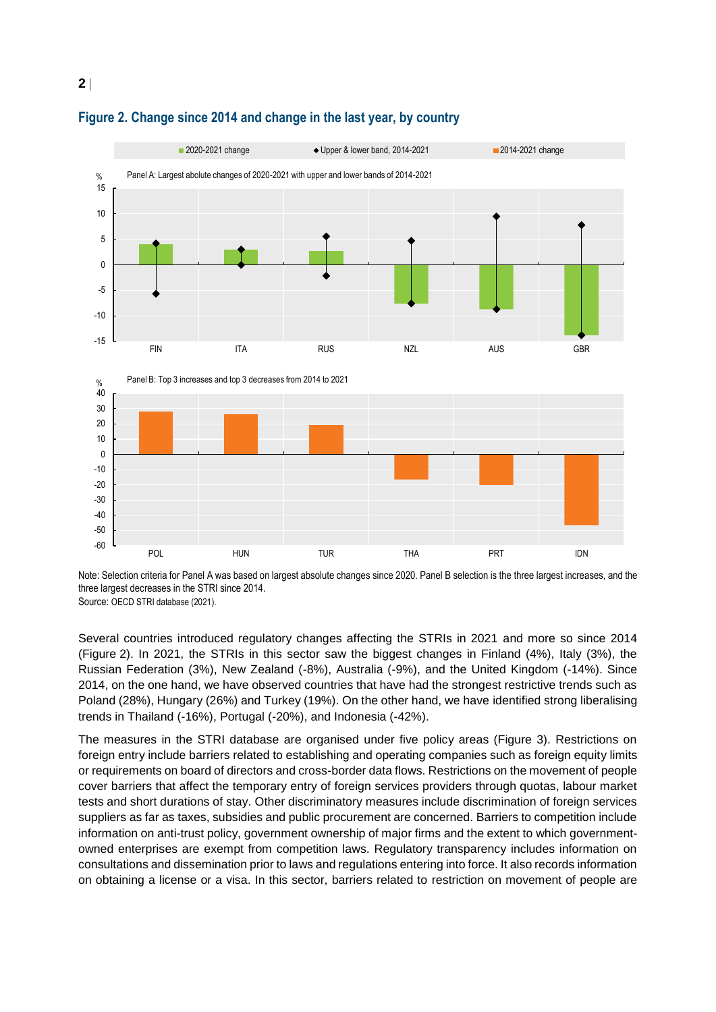

#### **Figure 2. Change since 2014 and change in the last year, by country**

Note: Selection criteria for Panel A was based on largest absolute changes since 2020. Panel B selection is the three largest increases, and the three largest decreases in the STRI since 2014. Source: OECD STRI database (2021).

Several countries introduced regulatory changes affecting the STRIs in 2021 and more so since 2014 (Figure 2). In 2021, the STRIs in this sector saw the biggest changes in Finland (4%), Italy (3%), the Russian Federation (3%), New Zealand (-8%), Australia (-9%), and the United Kingdom (-14%). Since 2014, on the one hand, we have observed countries that have had the strongest restrictive trends such as Poland (28%), Hungary (26%) and Turkey (19%). On the other hand, we have identified strong liberalising trends in Thailand (-16%), Portugal (-20%), and Indonesia (-42%).

The measures in the STRI database are organised under five policy areas (Figure 3). Restrictions on foreign entry include barriers related to establishing and operating companies such as foreign equity limits or requirements on board of directors and cross-border data flows. Restrictions on the movement of people cover barriers that affect the temporary entry of foreign services providers through quotas, labour market tests and short durations of stay. Other discriminatory measures include discrimination of foreign services suppliers as far as taxes, subsidies and public procurement are concerned. Barriers to competition include information on anti-trust policy, government ownership of major firms and the extent to which governmentowned enterprises are exempt from competition laws. Regulatory transparency includes information on consultations and dissemination prior to laws and regulations entering into force. It also records information on obtaining a license or a visa. In this sector, barriers related to restriction on movement of people are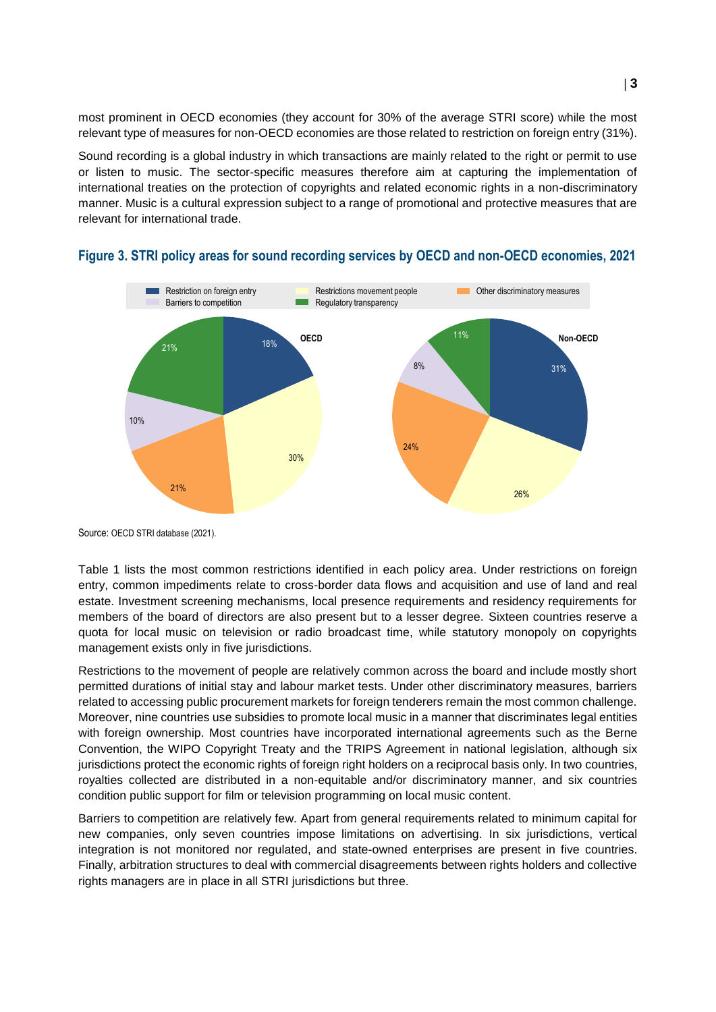most prominent in OECD economies (they account for 30% of the average STRI score) while the most relevant type of measures for non-OECD economies are those related to restriction on foreign entry (31%).

Sound recording is a global industry in which transactions are mainly related to the right or permit to use or listen to music. The sector-specific measures therefore aim at capturing the implementation of international treaties on the protection of copyrights and related economic rights in a non-discriminatory manner. Music is a cultural expression subject to a range of promotional and protective measures that are relevant for international trade.



#### **Figure 3. STRI policy areas for sound recording services by OECD and non-OECD economies, 2021**

Source: OECD STRI database (2021).

Table 1 lists the most common restrictions identified in each policy area. Under restrictions on foreign entry, common impediments relate to cross-border data flows and acquisition and use of land and real estate. Investment screening mechanisms, local presence requirements and residency requirements for members of the board of directors are also present but to a lesser degree. Sixteen countries reserve a quota for local music on television or radio broadcast time, while statutory monopoly on copyrights management exists only in five jurisdictions.

Restrictions to the movement of people are relatively common across the board and include mostly short permitted durations of initial stay and labour market tests. Under other discriminatory measures, barriers related to accessing public procurement markets for foreign tenderers remain the most common challenge. Moreover, nine countries use subsidies to promote local music in a manner that discriminates legal entities with foreign ownership. Most countries have incorporated international agreements such as the Berne Convention, the WIPO Copyright Treaty and the TRIPS Agreement in national legislation, although six jurisdictions protect the economic rights of foreign right holders on a reciprocal basis only. In two countries, royalties collected are distributed in a non-equitable and/or discriminatory manner, and six countries condition public support for film or television programming on local music content.

Barriers to competition are relatively few. Apart from general requirements related to minimum capital for new companies, only seven countries impose limitations on advertising. In six jurisdictions, vertical integration is not monitored nor regulated, and state-owned enterprises are present in five countries. Finally, arbitration structures to deal with commercial disagreements between rights holders and collective rights managers are in place in all STRI jurisdictions but three.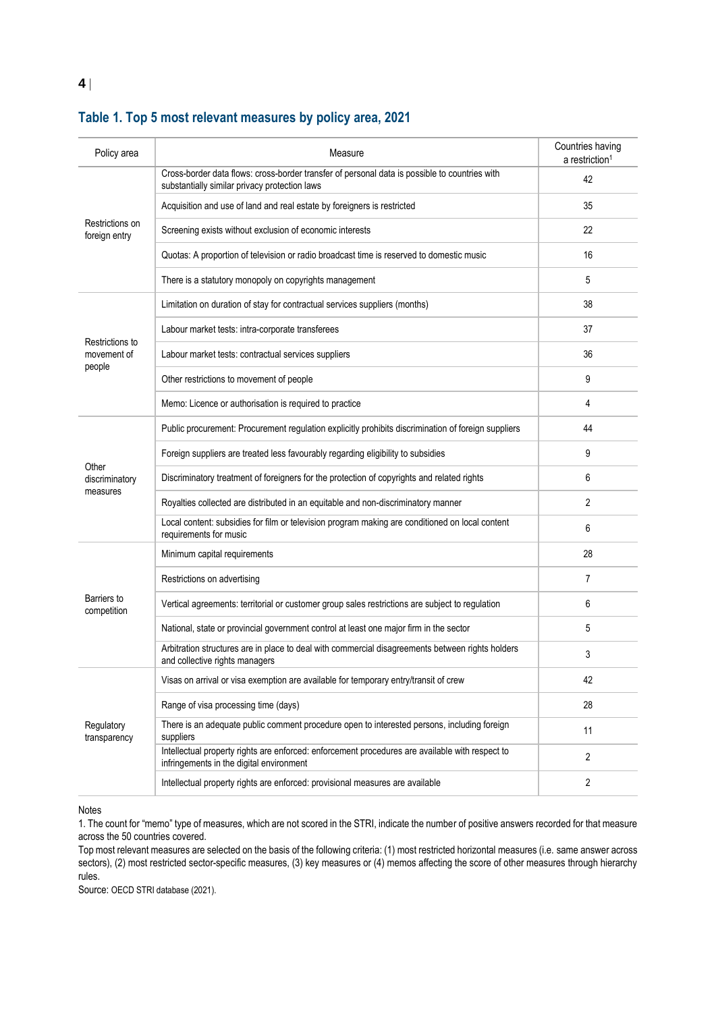| Policy area                              | Measure                                                                                                                                        | Countries having<br>a restriction <sup>1</sup> |
|------------------------------------------|------------------------------------------------------------------------------------------------------------------------------------------------|------------------------------------------------|
| Restrictions on<br>foreign entry         | Cross-border data flows: cross-border transfer of personal data is possible to countries with<br>substantially similar privacy protection laws | 42                                             |
|                                          | Acquisition and use of land and real estate by foreigners is restricted                                                                        | 35                                             |
|                                          | Screening exists without exclusion of economic interests                                                                                       | 22                                             |
|                                          | Quotas: A proportion of television or radio broadcast time is reserved to domestic music                                                       | 16                                             |
|                                          | There is a statutory monopoly on copyrights management                                                                                         | 5                                              |
| Restrictions to<br>movement of<br>people | Limitation on duration of stay for contractual services suppliers (months)                                                                     | 38                                             |
|                                          | Labour market tests: intra-corporate transferees                                                                                               | 37                                             |
|                                          | Labour market tests: contractual services suppliers                                                                                            | 36                                             |
|                                          | Other restrictions to movement of people                                                                                                       | 9                                              |
|                                          | Memo: Licence or authorisation is required to practice                                                                                         | 4                                              |
| Other<br>discriminatory<br>measures      | Public procurement: Procurement regulation explicitly prohibits discrimination of foreign suppliers                                            | 44                                             |
|                                          | Foreign suppliers are treated less favourably regarding eligibility to subsidies                                                               | 9                                              |
|                                          | Discriminatory treatment of foreigners for the protection of copyrights and related rights                                                     | 6                                              |
|                                          | Royalties collected are distributed in an equitable and non-discriminatory manner                                                              | 2                                              |
|                                          | Local content: subsidies for film or television program making are conditioned on local content<br>requirements for music                      | 6                                              |
| Barriers to<br>competition               | Minimum capital requirements                                                                                                                   | 28                                             |
|                                          | Restrictions on advertising                                                                                                                    | 7                                              |
|                                          | Vertical agreements: territorial or customer group sales restrictions are subject to regulation                                                | 6                                              |
|                                          | National, state or provincial government control at least one major firm in the sector                                                         | 5                                              |
|                                          | Arbitration structures are in place to deal with commercial disagreements between rights holders<br>and collective rights managers             | 3                                              |
| Regulatory<br>transparency               | Visas on arrival or visa exemption are available for temporary entry/transit of crew                                                           | 42                                             |
|                                          | Range of visa processing time (days)                                                                                                           | 28                                             |
|                                          | There is an adequate public comment procedure open to interested persons, including foreign<br>suppliers                                       | 11                                             |
|                                          | Intellectual property rights are enforced: enforcement procedures are available with respect to<br>infringements in the digital environment    | $\overline{2}$                                 |
|                                          | Intellectual property rights are enforced: provisional measures are available                                                                  | 2                                              |

### **Table 1. Top 5 most relevant measures by policy area, 2021**

Notes

1. The count for "memo" type of measures, which are not scored in the STRI, indicate the number of positive answers recorded for that measure across the 50 countries covered.

Top most relevant measures are selected on the basis of the following criteria: (1) most restricted horizontal measures (i.e. same answer across sectors), (2) most restricted sector-specific measures, (3) key measures or (4) memos affecting the score of other measures through hierarchy rules.

Source: OECD STRI database (2021).